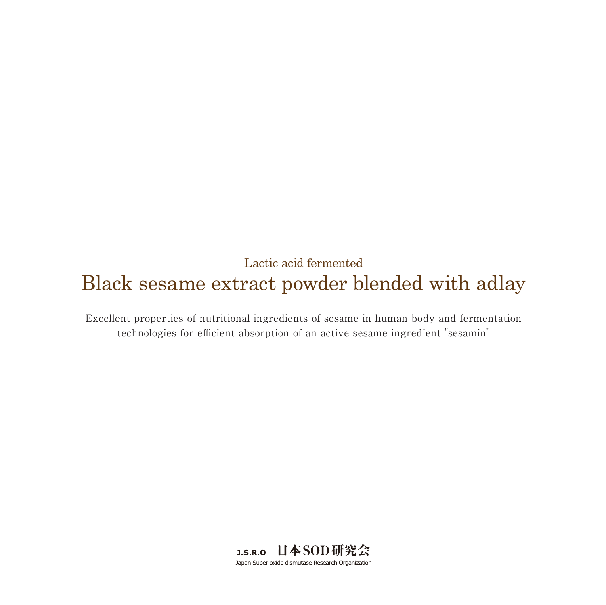## Lactic acid fermented Black sesame extract powder blended with adlay

Excellent properties of nutritional ingredients of sesame in human body and fermentation technologies for efficient absorption of an active sesame ingredient "sesamin"



Japan Super oxide dismutase Research Organization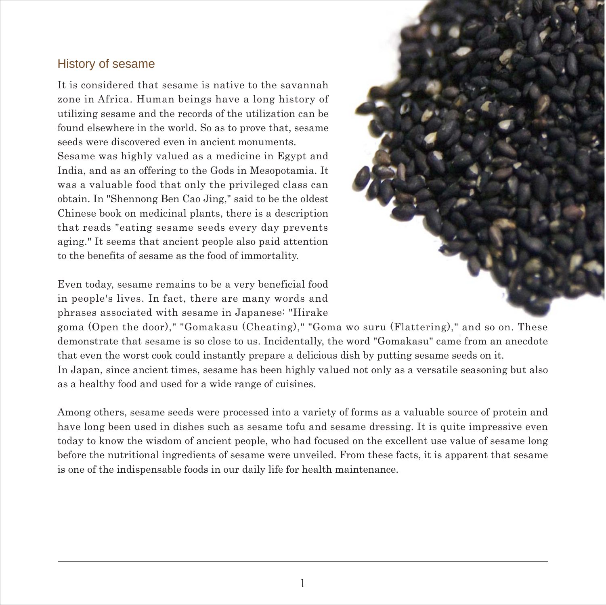### History of sesame

It is considered that sesame is native to the savannah zone in Africa. Human beings have a long history of utilizing sesame and the records of the utilization can be found elsewhere in the world. So as to prove that, sesame seeds were discovered even in ancient monuments. Sesame was highly valued as a medicine in Egypt and India, and as an offering to the Gods in Mesopotamia. It was a valuable food that only the privileged class can obtain. In "Shennong Ben Cao Jing," said to be the oldest Chinese book on medicinal plants, there is a description that reads "eating sesame seeds every day prevents aging." It seems that ancient people also paid attention to the benefits of sesame as the food of immortality.

Even today, sesame remains to be a very beneficial food in people's lives. In fact, there are many words and phrases associated with sesame in Japanese: "Hirake



goma (Open the door)," "Gomakasu (Cheating)," "Goma wo suru (Flattering)," and so on. These demonstrate that sesame is so close to us. Incidentally, the word "Gomakasu" came from an anecdote that even the worst cook could instantly prepare a delicious dish by putting sesame seeds on it.

In Japan, since ancient times, sesame has been highly valued not only as a versatile seasoning but also as a healthy food and used for a wide range of cuisines.

Among others, sesame seeds were processed into a variety of forms as a valuable source of protein and have long been used in dishes such as sesame tofu and sesame dressing. It is quite impressive even today to know the wisdom of ancient people, who had focused on the excellent use value of sesame long before the nutritional ingredients of sesame were unveiled. From these facts, it is apparent that sesame is one of the indispensable foods in our daily life for health maintenance.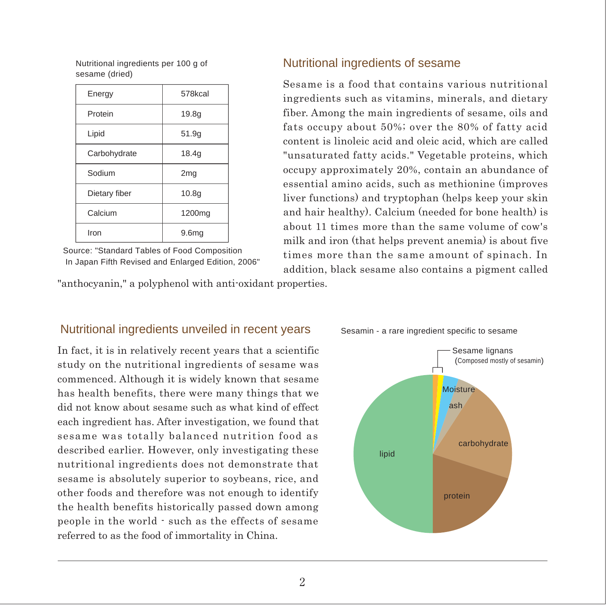Nutritional ingredients per 100 g of sesame (dried)

| Energy        | 578kcal            |
|---------------|--------------------|
| Protein       | 19.8 <sub>g</sub>  |
| Lipid         | 51.9g              |
| Carbohydrate  | 18.4q              |
| Sodium        | 2mg                |
| Dietary fiber | 10.8 <sub>q</sub>  |
| Calcium       | 1200 <sub>mq</sub> |
| Iron          | 9.6 <sub>mg</sub>  |

Source: "Standard Tables of Food Composition In Japan Fifth Revised and Enlarged Edition, 2006"

"anthocyanin," a polyphenol with anti-oxidant properties.

Nutritional ingredients unveiled in recent years

### Nutritional ingredients of sesame

Sesame is a food that contains various nutritional ingredients such as vitamins, minerals, and dietary fiber. Among the main ingredients of sesame, oils and fats occupy about 50%; over the 80% of fatty acid content is linoleic acid and oleic acid, which are called "unsaturated fatty acids." Vegetable proteins, which occupy approximately 20%, contain an abundance of essential amino acids, such as methionine (improves liver functions) and tryptophan (helps keep your skin and hair healthy). Calcium (needed for bone health) is about 11 times more than the same volume of cow's milk and iron (that helps prevent anemia) is about five times more than the same amount of spinach. In addition, black sesame also contains a pigment called

### Sesamin - a rare ingredient specific to sesame

In fact, it is in relatively recent years that a scientific study on the nutritional ingredients of sesame was commenced. Although it is widely known that sesame has health benefits, there were many things that we did not know about sesame such as what kind of effect each ingredient has. After investigation, we found that sesame was totally balanced nutrition food as described earlier. However, only investigating these nutritional ingredients does not demonstrate that sesame is absolutely superior to soybeans, rice, and other foods and therefore was not enough to identify the health benefits historically passed down among people in the world - such as the effects of sesame referred to as the food of immortality in China.

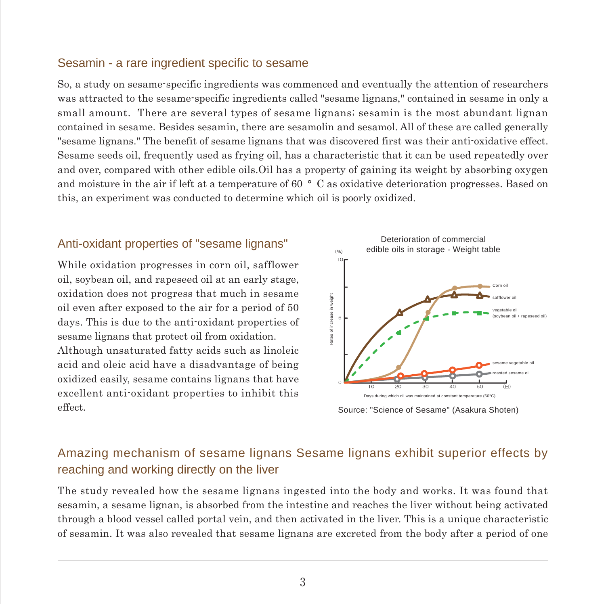### Sesamin - a rare ingredient specific to sesame

So, a study on sesame-specific ingredients was commenced and eventually the attention of researchers was attracted to the sesame-specific ingredients called "sesame lignans," contained in sesame in only a small amount. There are several types of sesame lignans; sesamin is the most abundant lignan contained in sesame. Besides sesamin, there are sesamolin and sesamol. All of these are called generally "sesame lignans." The benefit of sesame lignans that was discovered first was their anti-oxidative effect. Sesame seeds oil, frequently used as frying oil, has a characteristic that it can be used repeatedly over and over, compared with other edible oils.Oil has a property of gaining its weight by absorbing oxygen and moisture in the air if left at a temperature of 60 ° C as oxidative deterioration progresses. Based on this, an experiment was conducted to determine which oil is poorly oxidized.

### Anti-oxidant properties of "sesame lignans"

While oxidation progresses in corn oil, safflower oil, soybean oil, and rapeseed oil at an early stage, oxidation does not progress that much in sesame oil even after exposed to the air for a period of 50 days. This is due to the anti-oxidant properties of sesame lignans that protect oil from oxidation.

Although unsaturated fatty acids such as linoleic acid and oleic acid have a disadvantage of being oxidized easily, sesame contains lignans that have excellent anti-oxidant properties to inhibit this effect.



Source: "Science of Sesame" (Asakura Shoten)

### Amazing mechanism of sesame lignans Sesame lignans exhibit superior effects by reaching and working directly on the liver

The study revealed how the sesame lignans ingested into the body and works. It was found that sesamin, a sesame lignan, is absorbed from the intestine and reaches the liver without being activated through a blood vessel called portal vein, and then activated in the liver. This is a unique characteristic of sesamin. It was also revealed that sesame lignans are excreted from the body after a period of one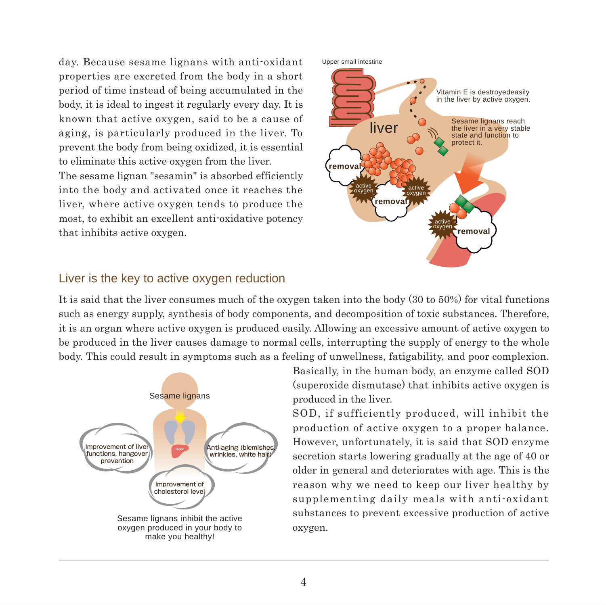day. Because sesame lignans with anti-oxidant properties are excreted from the body in a short period of time instead of being accumulated in the body, it is ideal to ingest it regularly every day. It is known that active oxygen, said to be a cause of aging, is particularly produced in the liver. To prevent the body from being oxidized, it is essential to eliminate this active oxygen from the liver. The sesame lignan "sesamin" is absorbed efficiently into the body and activated once it reaches the liver, where active oxygen tends to produce the most, to exhibit an excellent anti-oxidative potency that inhibits active oxygen.



### Liver is the key to active oxygen reduction

It is said that the liver consumes much of the oxygen taken into the body (30 to 50%) for vital functions such as energy supply, synthesis of body components, and decomposition of toxic substances. Therefore, it is an organ where active oxygen is produced easily. Allowing an excessive amount of active oxygen to be produced in the liver causes damage to normal cells, interrupting the supply of energy to the whole body. This could result in symptoms such as a feeling of unwellness, fatigability, and poor complexion.



Basically, in the human body, an enzyme called SOD (superoxide dismutase) that inhibits active oxygen is produced in the liver.

SOD, if sufficiently produced, will inhibit the production of active oxygen to a proper balance. However, unfortunately, it is said that SOD enzyme secretion starts lowering gradually at the age of 40 or older in general and deteriorates with age. This is the reason why we need to keep our liver healthy by supplementing daily meals with anti-oxidant substances to prevent excessive production of active oxygen.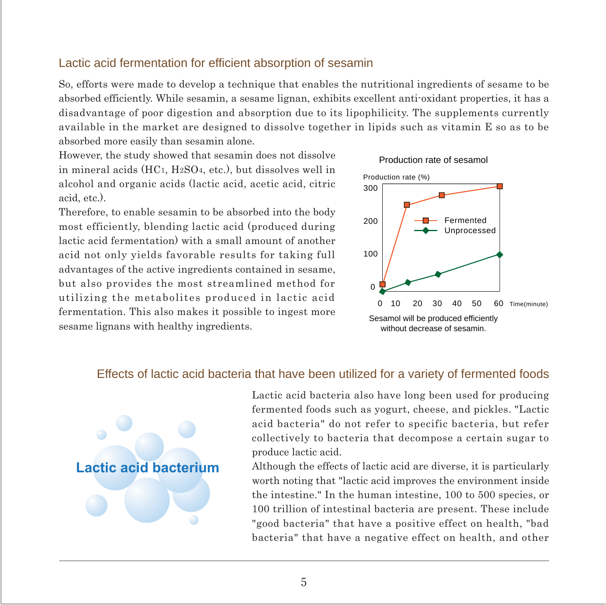### Lactic acid fermentation for efficient absorption of sesamin

So, efforts were made to develop a technique that enables the nutritional ingredients of sesame to be absorbed efficiently. While sesamin, a sesame lignan, exhibits excellent anti-oxidant properties, it has a disadvantage of poor digestion and absorption due to its lipophilicity. The supplements currently available in the market are designed to dissolve together in lipids such as vitamin E so as to be absorbed more easily than sesamin alone.

However, the study showed that sesamin does not dissolve in mineral acids (HC1, H2SO4, etc.), but dissolves well in alcohol and organic acids (lactic acid, acetic acid, citric acid, etc.).

Therefore, to enable sesamin to be absorbed into the body most efficiently, blending lactic acid (produced during lactic acid fermentation) with a small amount of another acid not only yields favorable results for taking full advantages of the active ingredients contained in sesame, but also provides the most streamlined method for utilizing the metabolites produced in lactic acid fermentation. This also makes it possible to ingest more sesame lignans with healthy ingredients.



### Effects of lactic acid bacteria that have been utilized for a variety of fermented foods



Lactic acid bacteria also have long been used for producing fermented foods such as yogurt, cheese, and pickles. "Lactic acid bacteria" do not refer to specific bacteria, but refer collectively to bacteria that decompose a certain sugar to produce lactic acid.

Although the effects of lactic acid are diverse, it is particularly worth noting that "lactic acid improves the environment inside the intestine." In the human intestine, 100 to 500 species, or 100 trillion of intestinal bacteria are present. These include "good bacteria" that have a positive effect on health, "bad bacteria" that have a negative effect on health, and other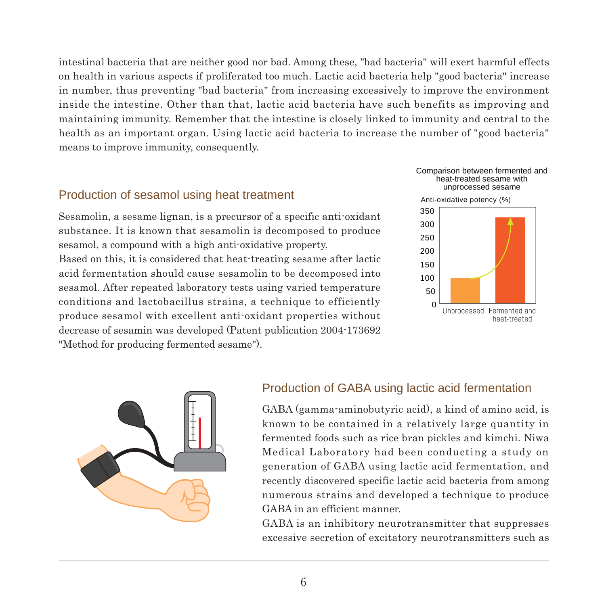intestinal bacteria that are neither good nor bad. Among these, "bad bacteria" will exert harmful effects on health in various aspects if proliferated too much. Lactic acid bacteria help "good bacteria" increase in number, thus preventing "bad bacteria" from increasing excessively to improve the environment inside the intestine. Other than that, lactic acid bacteria have such benefits as improving and maintaining immunity. Remember that the intestine is closely linked to immunity and central to the health as an important organ. Using lactic acid bacteria to increase the number of "good bacteria" means to improve immunity, consequently.

### Production of sesamol using heat treatment

Sesamolin, a sesame lignan, is a precursor of a specific anti-oxidant substance. It is known that sesamolin is decomposed to produce sesamol, a compound with a high anti-oxidative property.

Based on this, it is considered that heat-treating sesame after lactic acid fermentation should cause sesamolin to be decomposed into sesamol. After repeated laboratory tests using varied temperature conditions and lactobacillus strains, a technique to efficiently produce sesamol with excellent anti-oxidant properties without decrease of sesamin was developed (Patent publication 2004-173692 "Method for producing fermented sesame").





### Production of GABA using lactic acid fermentation

GABA (gamma-aminobutyric acid), a kind of amino acid, is known to be contained in a relatively large quantity in fermented foods such as rice bran pickles and kimchi. Niwa Medical Laboratory had been conducting a study on generation of GABA using lactic acid fermentation, and recently discovered specific lactic acid bacteria from among numerous strains and developed a technique to produce GABA in an efficient manner.

GABA is an inhibitory neurotransmitter that suppresses excessive secretion of excitatory neurotransmitters such as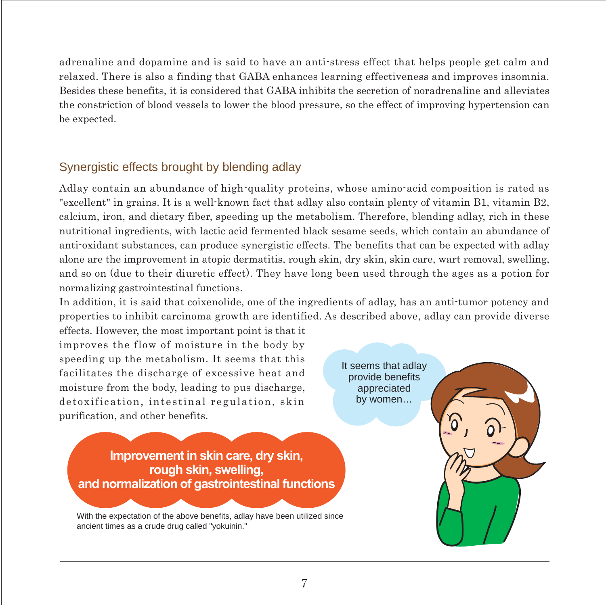adrenaline and dopamine and is said to have an anti-stress effect that helps people get calm and relaxed. There is also a finding that GABA enhances learning effectiveness and improves insomnia. Besides these benefits, it is considered that GABA inhibits the secretion of noradrenaline and alleviates the constriction of blood vessels to lower the blood pressure, so the effect of improving hypertension can be expected.

### Synergistic effects brought by blending adlay

Adlay contain an abundance of high-quality proteins, whose amino-acid composition is rated as "excellent" in grains. It is a well-known fact that adlay also contain plenty of vitamin B1, vitamin B2, calcium, iron, and dietary fiber, speeding up the metabolism. Therefore, blending adlay, rich in these nutritional ingredients, with lactic acid fermented black sesame seeds, which contain an abundance of anti-oxidant substances, can produce synergistic effects. The benefits that can be expected with adlay alone are the improvement in atopic dermatitis, rough skin, dry skin, skin care, wart removal, swelling, and so on (due to their diuretic effect). They have long been used through the ages as a potion for normalizing gastrointestinal functions.

In addition, it is said that coixenolide, one of the ingredients of adlay, has an anti-tumor potency and properties to inhibit carcinoma growth are identified. As described above, adlay can provide diverse

effects. However, the most important point is that it improves the flow of moisture in the body by speeding up the metabolism. It seems that this facilitates the discharge of excessive heat and moisture from the body, leading to pus discharge, detoxification, intestinal regulation, skin purification, and other benefits.

It seems that adlay provide benefits appreciated by women…

**Improvement in skin care, dry skin, rough skin, swelling, and normalization of gastrointestinal functions**

With the expectation of the above benefits, adlay have been utilized since ancient times as a crude drug called "yokuinin."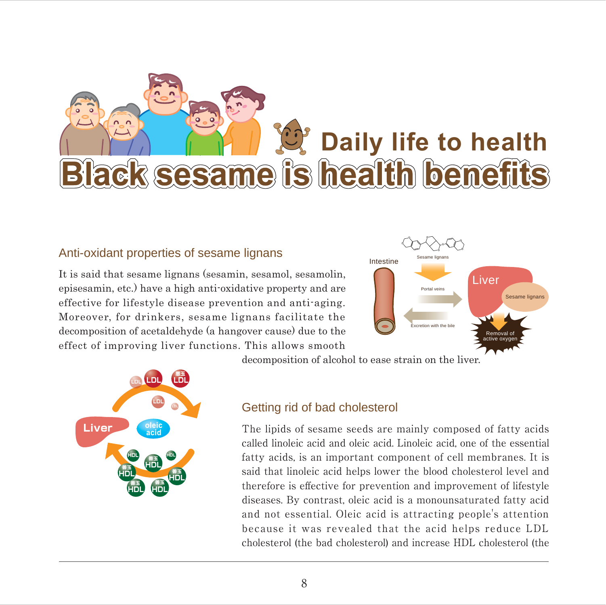# **Daily life to health<br><b>Black sesame is health benefits**

### Anti-oxidant properties of sesame lignans

It is said that sesame lignans (sesamin, sesamol, sesamolin, episesamin, etc.) have a high anti-oxidative property and are effective for lifestyle disease prevention and anti-aging. Moreover, for drinkers, sesame lignans facilitate the decomposition of acetaldehyde (a hangover cause) due to the effect of improving liver functions. This allows smooth





decomposition of alcohol to ease strain on the liver.

### Getting rid of bad cholesterol

The lipids of sesame seeds are mainly composed of fatty acids called linoleic acid and oleic acid. Linoleic acid, one of the essential fatty acids, is an important component of cell membranes. It is said that linoleic acid helps lower the blood cholesterol level and therefore is effective for prevention and improvement of lifestyle diseases. By contrast, oleic acid is a monounsaturated fatty acid and not essential. Oleic acid is attracting people's attention because it was revealed that the acid helps reduce LDL cholesterol (the bad cholesterol) and increase HDL cholesterol (the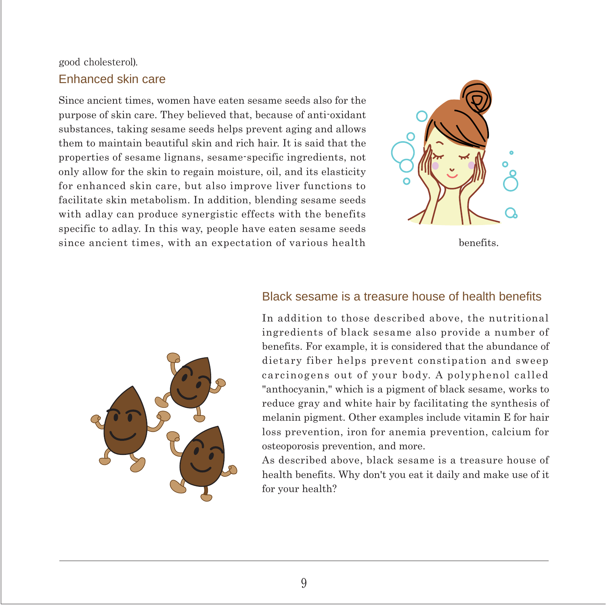### good cholesterol). Enhanced skin care

Since ancient times, women have eaten sesame seeds also for the purpose of skin care. They believed that, because of anti-oxidant substances, taking sesame seeds helps prevent aging and allows them to maintain beautiful skin and rich hair. It is said that the properties of sesame lignans, sesame-specific ingredients, not only allow for the skin to regain moisture, oil, and its elasticity for enhanced skin care, but also improve liver functions to facilitate skin metabolism. In addition, blending sesame seeds with adlay can produce synergistic effects with the benefits specific to adlay. In this way, people have eaten sesame seeds since ancient times, with an expectation of various health benefits.



### Black sesame is a treasure house of health benefits



In addition to those described above, the nutritional ingredients of black sesame also provide a number of benefits. For example, it is considered that the abundance of dietary fiber helps prevent constipation and sweep carcinogens out of your body. A polyphenol called "anthocyanin," which is a pigment of black sesame, works to reduce gray and white hair by facilitating the synthesis of melanin pigment. Other examples include vitamin E for hair loss prevention, iron for anemia prevention, calcium for osteoporosis prevention, and more.

As described above, black sesame is a treasure house of health benefits. Why don't you eat it daily and make use of it for your health?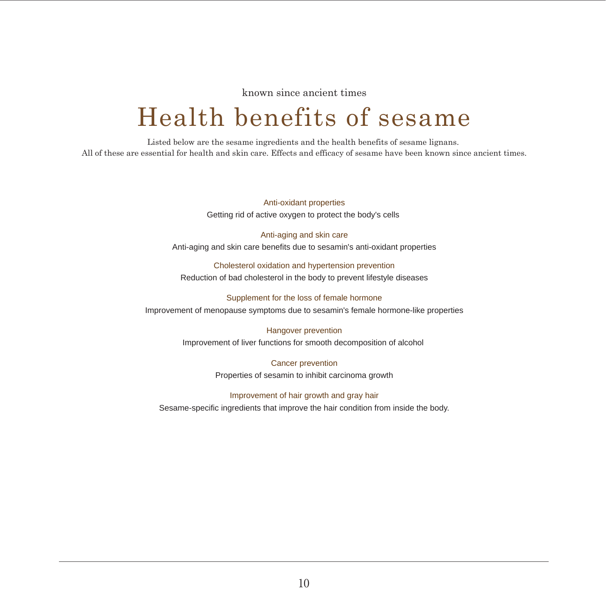known since ancient times

# Health benefits of sesame

Listed below are the sesame ingredients and the health benefits of sesame lignans. All of these are essential for health and skin care. Effects and efficacy of sesame have been known since ancient times.

> Anti-oxidant properties Getting rid of active oxygen to protect the body's cells

Anti-aging and skin care Anti-aging and skin care benefits due to sesamin's anti-oxidant properties

Cholesterol oxidation and hypertension prevention Reduction of bad cholesterol in the body to prevent lifestyle diseases

Supplement for the loss of female hormone Improvement of menopause symptoms due to sesamin's female hormone-like properties

> Hangover prevention Improvement of liver functions for smooth decomposition of alcohol

> > Cancer prevention Properties of sesamin to inhibit carcinoma growth

Improvement of hair growth and gray hair Sesame-specific ingredients that improve the hair condition from inside the body.